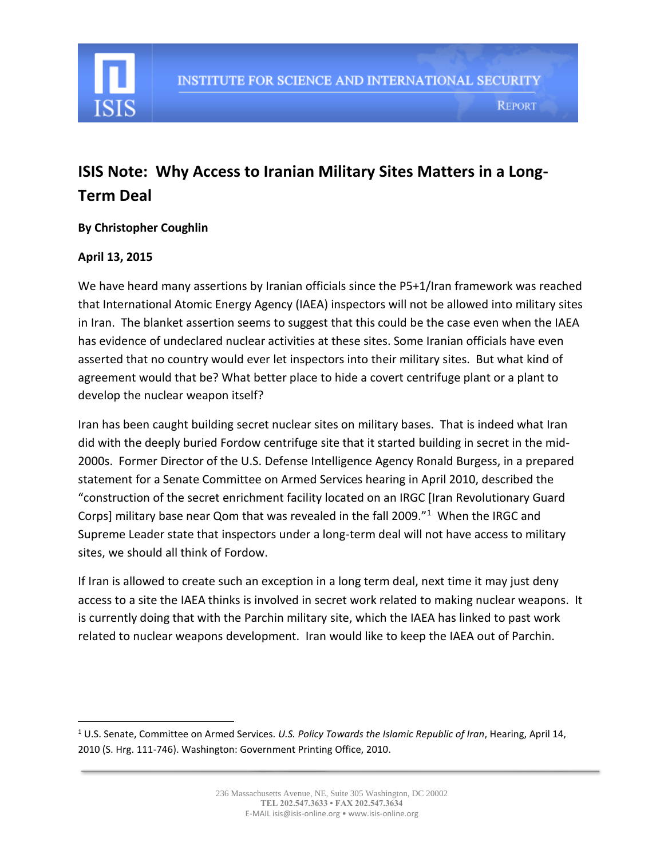

## **ISIS Note: Why Access to Iranian Military Sites Matters in a Long-Term Deal**

## **By Christopher Coughlin**

## **April 13, 2015**

 $\overline{a}$ 

We have heard many assertions by Iranian officials since the P5+1/Iran framework was reached that International Atomic Energy Agency (IAEA) inspectors will not be allowed into military sites in Iran. The blanket assertion seems to suggest that this could be the case even when the IAEA has evidence of undeclared nuclear activities at these sites. Some Iranian officials have even asserted that no country would ever let inspectors into their military sites. But what kind of agreement would that be? What better place to hide a covert centrifuge plant or a plant to develop the nuclear weapon itself?

Iran has been caught building secret nuclear sites on military bases. That is indeed what Iran did with the deeply buried Fordow centrifuge site that it started building in secret in the mid-2000s. Former Director of the U.S. Defense Intelligence Agency Ronald Burgess, in a prepared statement for a Senate Committee on Armed Services hearing in April 2010, described the "construction of the secret enrichment facility located on an IRGC [Iran Revolutionary Guard Corps] military base near Qom that was revealed in the fall 2009."<sup>1</sup> When the IRGC and Supreme Leader state that inspectors under a long-term deal will not have access to military sites, we should all think of Fordow.

If Iran is allowed to create such an exception in a long term deal, next time it may just deny access to a site the IAEA thinks is involved in secret work related to making nuclear weapons. It is currently doing that with the Parchin military site, which the IAEA has linked to past work related to nuclear weapons development. Iran would like to keep the IAEA out of Parchin.

<sup>1</sup> U.S. Senate, Committee on Armed Services. *U.S. Policy Towards the Islamic Republic of Iran*, Hearing, April 14, 2010 (S. Hrg. 111-746). Washington: Government Printing Office, 2010.